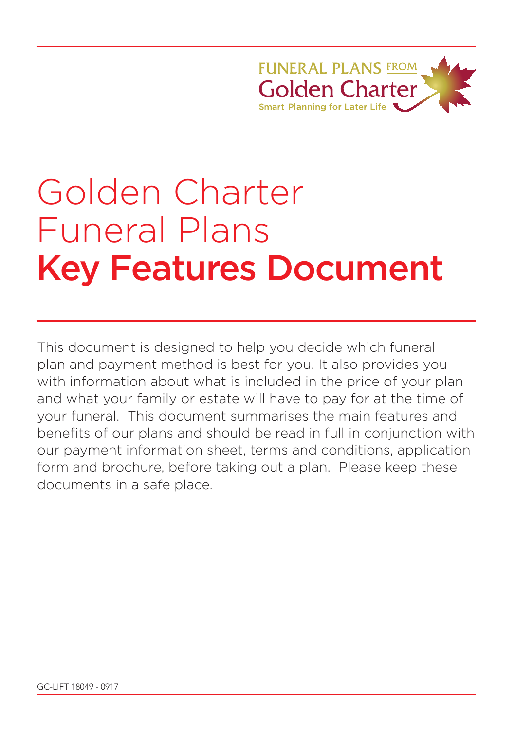**FUNFRAL PLANS FROM** Golden Charter **Smart Planning for Later Life** 

# Golden Charter Funeral Plans Key Features Document

This document is designed to help you decide which funeral plan and payment method is best for you. It also provides you with information about what is included in the price of your plan and what your family or estate will have to pay for at the time of your funeral. This document summarises the main features and benefits of our plans and should be read in full in conjunction with our payment information sheet, terms and conditions, application form and brochure, before taking out a plan. Please keep these documents in a safe place.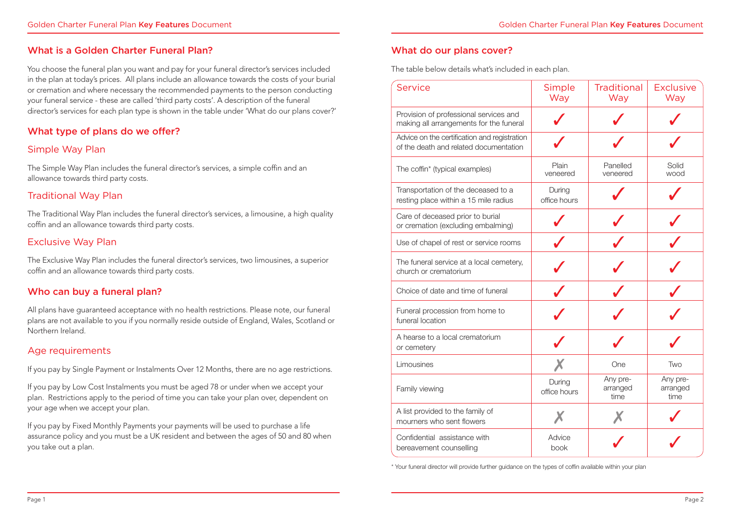#### What is a Golden Charter Funeral Plan?

You choose the funeral plan you want and pay for your funeral director's services included in the plan at today's prices. All plans include an allowance towards the costs of your burial or cremation and where necessary the recommended payments to the person conducting your funeral service - these are called 'third party costs'. A description of the funeral director's services for each plan type is shown in the table under 'What do our plans cover?'

## What type of plans do we offer?

#### Simple Way Plan

The Simple Way Plan includes the funeral director's services, a simple coffin and an allowance towards third party costs.

#### Traditional Way Plan

The Traditional Way Plan includes the funeral director's services, a limousine, a high quality coffin and an allowance towards third party costs.

#### Exclusive Way Plan

The Exclusive Way Plan includes the funeral director's services, two limousines, a superior coffin and an allowance towards third party costs.

## Who can buy a funeral plan?

All plans have guaranteed acceptance with no health restrictions. Please note, our funeral plans are not available to you if you normally reside outside of England, Wales, Scotland or Northern Ireland.

#### Age requirements

If you pay by Single Payment or Instalments Over 12 Months, there are no age restrictions.

If you pay by Low Cost Instalments you must be aged 78 or under when we accept your plan. Restrictions apply to the period of time you can take your plan over, dependent on your age when we accept your plan.

If you pay by Fixed Monthly Payments your payments will be used to purchase a life assurance policy and you must be a UK resident and between the ages of 50 and 80 when you take out a plan.

### What do our plans cover?

The table below details what's included in each plan.

| Service                                                                                | Simple<br>Way          | <b>Traditional</b><br>Way    | <b>Exclusive</b><br>Way      |
|----------------------------------------------------------------------------------------|------------------------|------------------------------|------------------------------|
| Provision of professional services and<br>making all arrangements for the funeral      |                        |                              |                              |
| Advice on the certification and registration<br>of the death and related documentation |                        |                              |                              |
| The coffin* (typical examples)                                                         | Plain<br>veneered      | Panelled<br>veneered         | Solid<br>wood                |
| Transportation of the deceased to a<br>resting place within a 15 mile radius           | During<br>office hours |                              |                              |
| Care of deceased prior to burial<br>or cremation (excluding embalming)                 |                        |                              |                              |
| Use of chapel of rest or service rooms                                                 |                        |                              |                              |
| The funeral service at a local cemetery,<br>church or crematorium                      |                        |                              |                              |
| Choice of date and time of funeral                                                     |                        |                              |                              |
| Funeral procession from home to<br>funeral location                                    |                        |                              |                              |
| A hearse to a local crematorium<br>or cemetery                                         |                        |                              |                              |
| Limousines                                                                             |                        | One                          | Two                          |
| Family viewing                                                                         | During<br>office hours | Any pre-<br>arranged<br>time | Any pre-<br>arranged<br>time |
| A list provided to the family of<br>mourners who sent flowers                          |                        |                              |                              |
| Confidential assistance with<br>bereavement counselling                                | Advice<br>book         |                              |                              |

\* Your funeral director will provide further guidance on the types of coffin available within your plan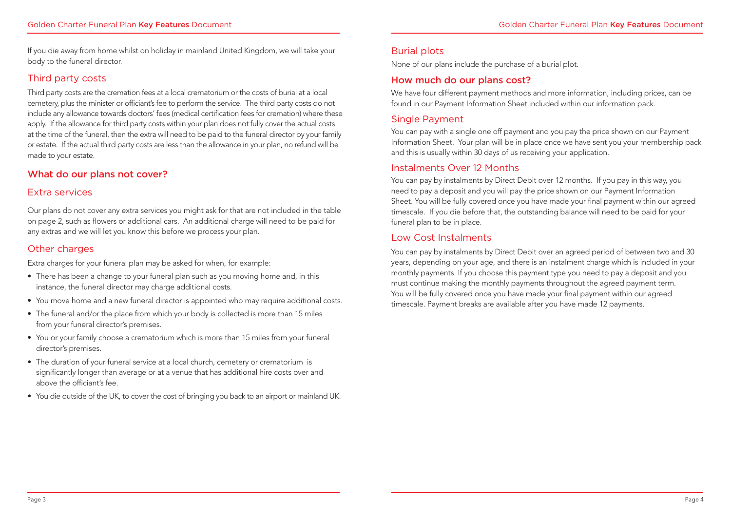If you die away from home whilst on holiday in mainland United Kingdom, we will take your body to the funeral director.

### Third party costs

Third party costs are the cremation fees at a local crematorium or the costs of burial at a local cemetery, plus the minister or officiant's fee to perform the service. The third party costs do not include any allowance towards doctors' fees (medical certification fees for cremation) where these apply. If the allowance for third party costs within your plan does not fully cover the actual costs at the time of the funeral, then the extra will need to be paid to the funeral director by your family or estate. If the actual third party costs are less than the allowance in your plan, no refund will be made to your estate.

#### What do our plans not cover?

#### Extra services

Our plans do not cover any extra services you might ask for that are not included in the table on page 2, such as flowers or additional cars. An additional charge will need to be paid for any extras and we will let you know this before we process your plan.

## Other charges

Extra charges for your funeral plan may be asked for when, for example:

- There has been a change to your funeral plan such as you moving home and, in this instance, the funeral director may charge additional costs.
- You move home and a new funeral director is appointed who may require additional costs.
- The funeral and/or the place from which your body is collected is more than 15 miles from your funeral director's premises.
- You or your family choose a crematorium which is more than 15 miles from your funeral director's premises.
- The duration of your funeral service at a local church, cemetery or crematorium is significantly longer than average or at a venue that has additional hire costs over and above the officiant's fee.
- You die outside of the UK, to cover the cost of bringing you back to an airport or mainland UK.

## Burial plots

None of our plans include the purchase of a burial plot.

### How much do our plans cost?

We have four different payment methods and more information, including prices, can be found in our Payment Information Sheet included within our information pack.

#### Single Payment

You can pay with a single one off payment and you pay the price shown on our Payment Information Sheet. Your plan will be in place once we have sent you your membership pack and this is usually within 30 days of us receiving your application.

#### Instalments Over 12 Months

You can pay by instalments by Direct Debit over 12 months. If you pay in this way, you need to pay a deposit and you will pay the price shown on our Payment Information Sheet. You will be fully covered once you have made your final payment within our agreed timescale. If you die before that, the outstanding balance will need to be paid for your funeral plan to be in place.

#### Low Cost Instalments

You can pay by instalments by Direct Debit over an agreed period of between two and 30 years, depending on your age, and there is an instalment charge which is included in your monthly payments. If you choose this payment type you need to pay a deposit and you must continue making the monthly payments throughout the agreed payment term. You will be fully covered once you have made your final payment within our agreed timescale. Payment breaks are available after you have made 12 payments.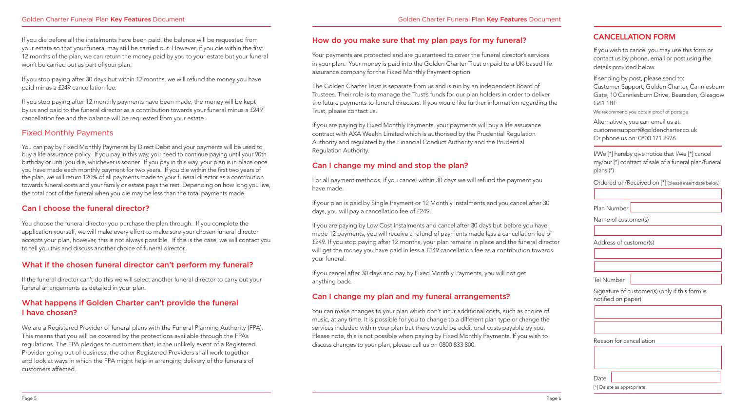If you die before all the instalments have been paid, the balance will be requested from your estate so that your funeral may still be carried out. However, if you die within the first 12 months of the plan, we can return the money paid by you to your estate but your funeral won't be carried out as part of your plan.

If you stop paying after 30 days but within 12 months, we will refund the money you have paid minus a £249 cancellation fee.

If you stop paying after 12 monthly payments have been made, the money will be kept by us and paid to the funeral director as a contribution towards your funeral minus a £249 cancellation fee and the balance will be requested from your estate.

# Fixed Monthly Payments

You can pay by Fixed Monthly Payments by Direct Debit and your payments will be used to buy a life assurance policy. If you pay in this way, you need to continue paying until your 90th birthday or until you die, whichever is sooner. If you pay in this way, your plan is in place once you have made each monthly payment for two years. If you die within the first two years of the plan, we will return 120% of all payments made to your funeral director as a contribution towards funeral costs and your family or estate pays the rest. Depending on how long you live, the total cost of the funeral when you die may be less than the total payments made.

# Can I choose the funeral director?

You choose the funeral director you purchase the plan through. If you complete the application yourself, we will make every effort to make sure your chosen funeral director accepts your plan, however, this is not always possible. If this is the case, we will contact you to tell you this and discuss another choice of funeral director.

# What if the chosen funeral director can't perform my funeral?

If the funeral director can't do this we will select another funeral director to carry out your funeral arrangements as detailed in your plan.

# What happens if Golden Charter can't provide the funeral I have chosen?

We are a Registered Provider of funeral plans with the Funeral Planning Authority (FPA). This means that you will be covered by the protections available through the FPA's regulations. The FPA pledges to customers that, in the unlikely event of a Registered Provider going out of business, the other Registered Providers shall work together and look at ways in which the FPA might help in arranging delivery of the funerals of customers affected.

# How do you make sure that my plan pays for my funeral?

Your payments are protected and are guaranteed to cover the funeral director's services in your plan. Your money is paid into the Golden Charter Trust or paid to a UK-based life assurance company for the Fixed Monthly Payment option.

The Golden Charter Trust is separate from us and is run by an independent Board of Trustees. Their role is to manage the Trust's funds for our plan holders in order to deliver the future payments to funeral directors. If you would like further information regarding the Trust, please contact us.

If you are paying by Fixed Monthly Payments, your payments will buy a life assurance contract with AXA Wealth Limited which is authorised by the Prudential Regulation Authority and regulated by the Financial Conduct Authority and the Prudential Regulation Authority.

# Can I change my mind and stop the plan?

For all payment methods, if you cancel within 30 days we will refund the payment you have made.

If your plan is paid by Single Payment or 12 Monthly Instalments and you cancel after 30 days, you will pay a cancellation fee of £249.

If you are paying by Low Cost Instalments and cancel after 30 days but before you have made 12 payments, you will receive a refund of payments made less a cancellation fee of £249. If you stop paying after 12 months, your plan remains in place and the funeral director will get the money you have paid in less a £249 cancellation fee as a contribution towards your funeral.

If you cancel after 30 days and pay by Fixed Monthly Payments, you will not get anything back.

# Can I change my plan and my funeral arrangements?

You can make changes to your plan which don't incur additional costs, such as choice of music, at any time. It is possible for you to change to a different plan type or change the services included within your plan but there would be additional costs payable by you. Please note, this is not possible when paying by Fixed Monthly Payments. If you wish to discuss changes to your plan, please call us on 0800 833 800.

# CANCELLATION FORM

If you wish to cancel you may use this form or contact us by phone, email or post using the details provided below.

If sending by post, please send to: Customer Support, Golden Charter, Canniesburn Gate, 10 Canniesburn Drive, Bearsden, Glasgow G61 1BF

We recommend you obtain proof of postage.

Alternatively, you can email us at: customersupport@goldencharter.co.uk Or phone us on: 0800 171 2976

I/We [\*] hereby give notice that I/we [\*] cancel my/our [\*] contract of sale of a funeral plan/funeral plans (\*)

Ordered on/Received on [\*] (please insert date below)

| dumber ' |  |
|----------|--|

Name of customer(s)

Plan

Address of customer(s)

| Tel Number |  |
|------------|--|
|            |  |

Signature of customer(s) (only if this form is notified on paper)

Reason for cancellation

| Date |                           |
|------|---------------------------|
|      | [*] Delete as appropriate |